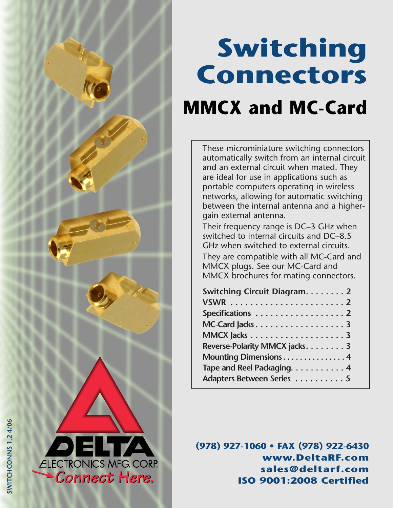<span id="page-0-0"></span>

# **Switching Connectors**

## **MMCX and MC-Card**

These microminiature switching connectors automatically switch from an internal circuit and an external circuit when mated. They are ideal for use in applications such as portable computers operating in wireless networks, allowing for automatic switching between the internal antenna and a highergain external antenna.

Their frequency range is DC–3 GHz when switched to internal circuits and DC–8.5 GHz when switched to external circuits. They are compatible with all MC-Card and MMCX plugs. See our MC-Card and MMCX brochures for mating connectors.

| Switching Circuit Diagram. 2   |  |
|--------------------------------|--|
|                                |  |
| Specifications 2               |  |
| MC-Card Jacks 3                |  |
|                                |  |
| Reverse-Polarity MMCX jacks. 3 |  |
| Mounting Dimensions 4          |  |
| Tape and Reel Packaging. 4     |  |
| Adapters Between Series 5      |  |

**(978) 927-1060 • FAX (978) 922-6430 www.DeltaRF.com sales@deltarf.com ISO 9001:2008 Certified**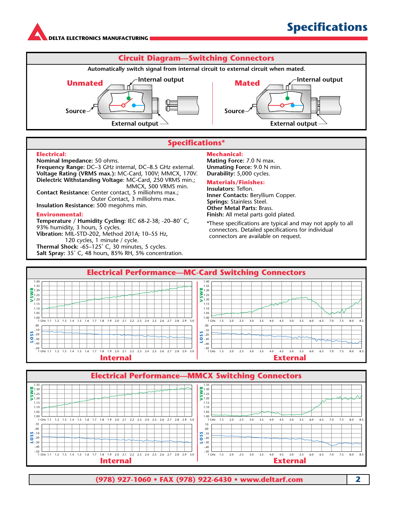**[DE](#page-0-0)LTA ELECTRONICS MANUFACTURING**



#### **Specifications\***

#### **Electrical:**

**Nominal Impedance:** 50 ohms.

**Frequency Range:** DC–3 GHz internal, DC–8.5 GHz external. **Voltage Rating (VRMS max.):** MC-Card, 100V; MMCX, 170V. **Dielectric Withstanding Voltage**: MC-Card, 250 VRMS min.; MMCX, 500 VRMS min. **Contact Resistance:** Center contact, 5 milliohms max.; Outer Contact, 3 milliohms max. **Insulation Resistance:** 500 megohms min.

#### **Environmental:**

**Temperature / Humidity Cycling:** IEC 68-2-38; -20–80˚ C, 93% humidity, 3 hours, 5 cycles. **Vibration:** MIL-STD-202, Method 201A; 10–55 Hz, 120 cycles, 1 minute / cycle. **Thermal Shock:** -65–125˚ C, 30 minutes, 5 cycles. **Salt Spray:** 35˚ C, 48 hours, 85% RH, 5% concentration.

#### **Mechanical:**

**Mating Force:** 7.0 N max. **Unmating Force:** 9.0 N min. **Durability:** 5,000 cycles.

#### **Materials/Finishes:**

**Insulators:** Teflon. **Inner Contacts:** Beryllium Copper. **Springs:** Stainless Steel. **Other Metal Parts:** Brass. **Finish:** All metal parts gold plated.

\*These specifications are typical and may not apply to all connectors. Detailed specifications for individual connectors are available on request.



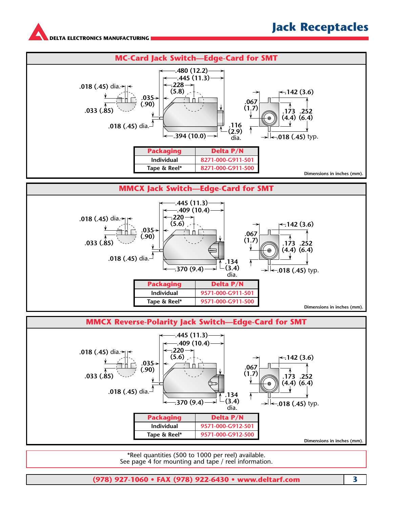**[DE](#page-0-0)LTA ELECTRONICS MANUFACTURING**





\*Reel quantities (500 to 1000 per reel) available. See page 4 for mounting and tape / reel information.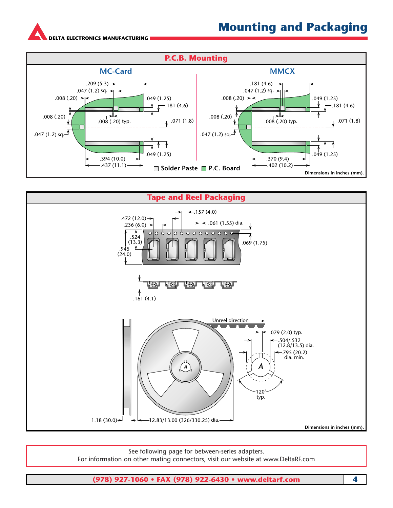### **Mounting and Packaging**

**[DE](#page-0-0)LTA ELECTRONICS MANUFACTURING**





See following page for between-series adapters. For information on other mating connectors, visit our website at www.DeltaRF.com